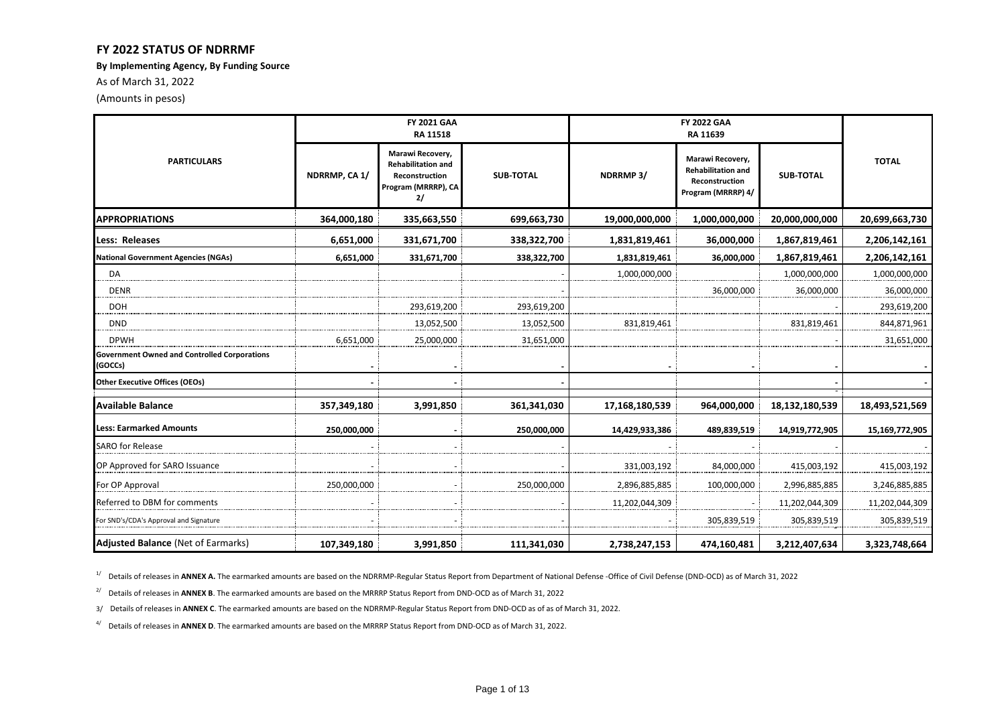#### **FY 2022 STATUS OF NDRRMF**

**By Implementing Agency, By Funding Source**

As of March 31, 2022

(Amounts in pesos)

|                                                                | <b>FY 2021 GAA</b><br>RA 11518 |                                                                                                     |                  |                       |                                                                                       |                  |                |  |
|----------------------------------------------------------------|--------------------------------|-----------------------------------------------------------------------------------------------------|------------------|-----------------------|---------------------------------------------------------------------------------------|------------------|----------------|--|
| <b>PARTICULARS</b>                                             | NDRRMP, CA 1/                  | Marawi Recovery,<br><b>Rehabilitation and</b><br><b>Reconstruction</b><br>Program (MRRRP), CA<br>2/ | <b>SUB-TOTAL</b> | NDRRMP <sub>3</sub> / | Marawi Recovery,<br><b>Rehabilitation and</b><br>Reconstruction<br>Program (MRRRP) 4/ | <b>SUB-TOTAL</b> | <b>TOTAL</b>   |  |
| <b>APPROPRIATIONS</b>                                          | 364,000,180                    | 335,663,550                                                                                         | 699,663,730      | 19,000,000,000        | 1,000,000,000                                                                         | 20,000,000,000   | 20,699,663,730 |  |
| <b>Less: Releases</b>                                          | 6,651,000                      | 331,671,700                                                                                         | 338,322,700      | 1,831,819,461         | 36,000,000                                                                            | 1,867,819,461    | 2,206,142,161  |  |
| <b>National Government Agencies (NGAs)</b>                     | 6,651,000                      | 331,671,700                                                                                         | 338,322,700      | 1,831,819,461         | 36,000,000                                                                            | 1,867,819,461    | 2,206,142,161  |  |
| DA                                                             |                                |                                                                                                     |                  | 1,000,000,000         |                                                                                       | 1,000,000,000    | 1,000,000,000  |  |
| <b>DENR</b>                                                    |                                |                                                                                                     |                  |                       | 36,000,000                                                                            | 36,000,000       | 36,000,000     |  |
| <b>DOH</b>                                                     |                                | 293,619,200                                                                                         | 293,619,200      |                       |                                                                                       |                  | 293,619,200    |  |
| <b>DND</b>                                                     |                                | 13,052,500                                                                                          | 13,052,500       | 831,819,461           |                                                                                       | 831,819,461      | 844,871,961    |  |
| <b>DPWH</b>                                                    | 6,651,000                      | 25,000,000                                                                                          | 31,651,000       |                       |                                                                                       |                  | 31,651,000     |  |
| <b>Government Owned and Controlled Corporations</b><br>(GOCCs) |                                |                                                                                                     |                  |                       |                                                                                       |                  |                |  |
| <b>Other Executive Offices (OEOs)</b>                          |                                |                                                                                                     |                  |                       |                                                                                       |                  |                |  |
| <b>Available Balance</b>                                       | 357,349,180                    | 3,991,850                                                                                           | 361,341,030      | 17,168,180,539        | 964,000,000                                                                           | 18,132,180,539   | 18,493,521,569 |  |
| <b>Less: Earmarked Amounts</b>                                 | 250,000,000                    |                                                                                                     | 250,000,000      | 14,429,933,386        | 489,839,519                                                                           | 14,919,772,905   | 15,169,772,905 |  |
| <b>SARO for Release</b>                                        |                                |                                                                                                     |                  |                       |                                                                                       |                  |                |  |
| OP Approved for SARO Issuance                                  |                                |                                                                                                     |                  | 331,003,192           | 84,000,000                                                                            | 415,003,192      | 415,003,192    |  |
| For OP Approval                                                | 250,000,000                    |                                                                                                     | 250,000,000      | 2,896,885,885         | 100,000,000                                                                           | 2,996,885,885    | 3,246,885,885  |  |
| Referred to DBM for comments                                   |                                |                                                                                                     |                  | 11,202,044,309        |                                                                                       | 11,202,044,309   | 11,202,044,309 |  |
| or SND's/CDA's Approval and Signature <sup>-</sup>             |                                |                                                                                                     |                  |                       | 305,839,519                                                                           | 305,839,519      | 305,839,519    |  |
| <b>Adjusted Balance (Net of Earmarks)</b>                      | 107,349,180                    | 3,991,850                                                                                           | 111,341,030      | 2,738,247,153         | 474,160,481                                                                           | 3,212,407,634    | 3,323,748,664  |  |

<sup>1/</sup> Details of releases in **ANNEX A.** The earmarked amounts are based on the NDRRMP-Regular Status Report from Department of National Defense -Office of Civil Defense (DND-OCD) as of March 31, 2022

<sup>2/</sup> Details of releases in **ANNEX B**. The earmarked amounts are based on the MRRRP Status Report from DND-OCD as of March 31, 2022

3/ Details of releases in **ANNEX C**. The earmarked amounts are based on the NDRRMP-Regular Status Report from DND-OCD as of as of March 31, 2022.

4/ Details of releases in **ANNEX D**. The earmarked amounts are based on the MRRRP Status Report from DND-OCD as of March 31, 2022.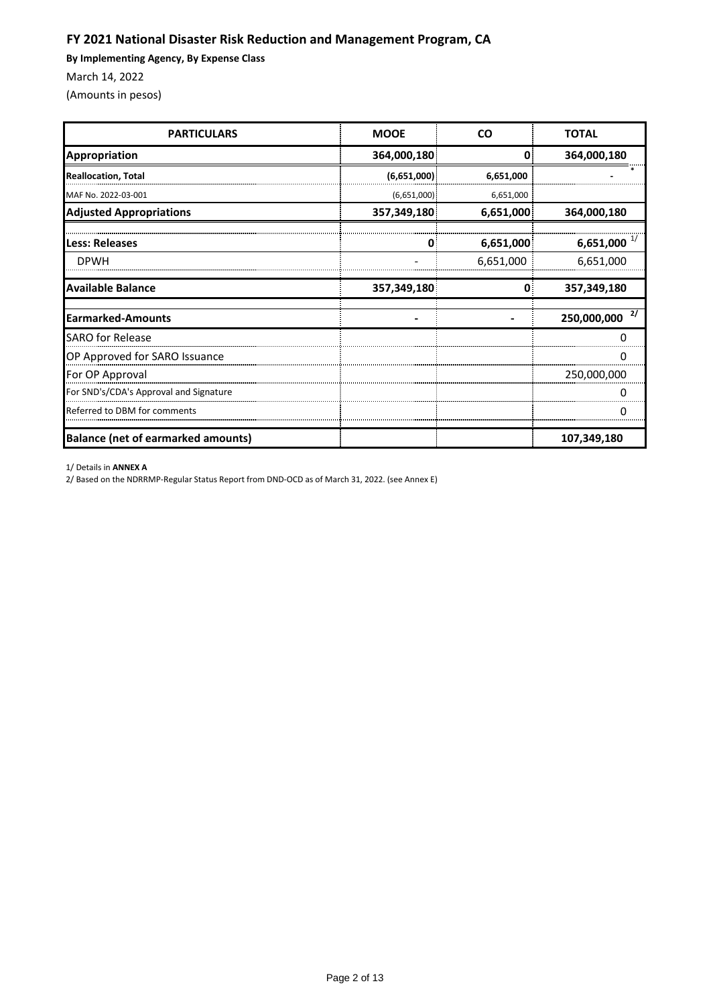# **FY 2021 National Disaster Risk Reduction and Management Program, CA**

**By Implementing Agency, By Expense Class**

March 14, 2022

(Amounts in pesos)

| <b>PARTICULARS</b>                        | <b>MOOE</b> | <b>CO</b> | <b>TOTAL</b>      |
|-------------------------------------------|-------------|-----------|-------------------|
| <b>Appropriation</b>                      | 364,000,180 | 0         | 364,000,180       |
| <b>Reallocation, Total</b>                | (6,651,000) | 6,651,000 |                   |
| MAF No. 2022-03-001                       | (6,651,000) | 6,651,000 |                   |
| <b>Adjusted Appropriations</b>            | 357,349,180 | 6,651,000 | 364,000,180       |
| Less: Releases                            |             | 6,651,000 | 6,651,000 $^{1/}$ |
| <b>DPWH</b>                               |             | 6,651,000 | 6,651,000         |
| <b>Available Balance</b>                  | 357,349,180 | 0         | 357,349,180       |
| <b>Earmarked-Amounts</b>                  |             |           | 2/<br>250,000,000 |
| <b>SARO for Release</b>                   |             |           |                   |
| OP Approved for SARO Issuance             |             |           |                   |
| For OP Approval                           |             |           | 250,000,000       |
| For SND's/CDA's Approval and Signature    |             |           |                   |
| Referred to DBM for comments              |             |           |                   |
| <b>Balance (net of earmarked amounts)</b> |             |           | 107,349,180       |

1/ Details in **ANNEX A**

2/ Based on the NDRRMP-Regular Status Report from DND-OCD as of March 31, 2022. (see Annex E)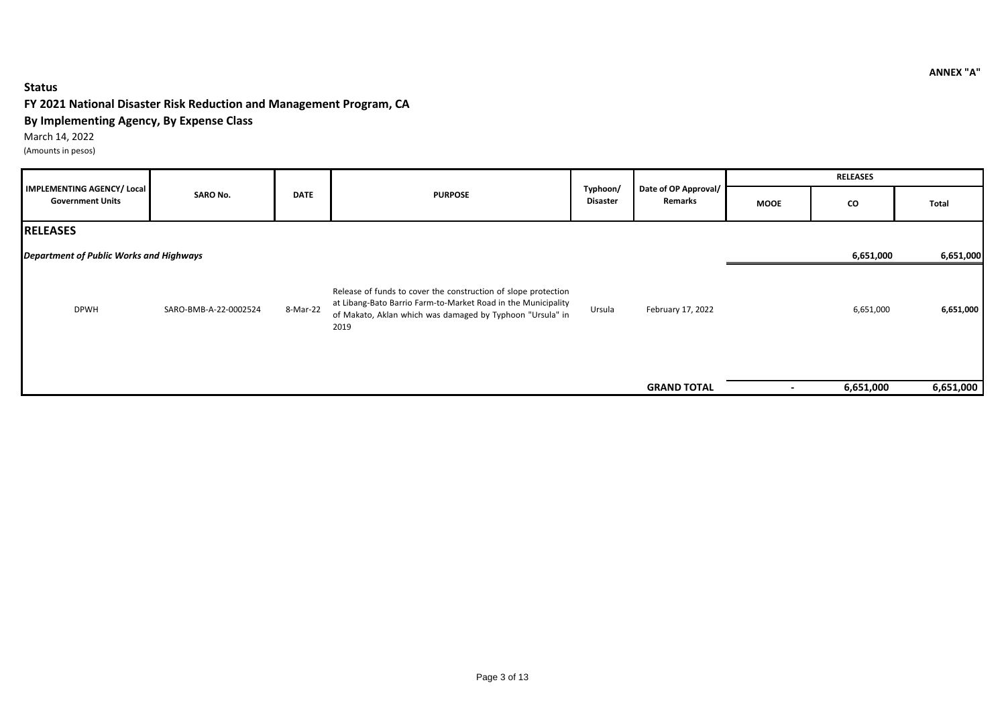### **Status**

### **FY 2021 National Disaster Risk Reduction and Management Program, CA**

### **By Implementing Agency, By Expense Class**

March 14, 2022

(Amounts in pesos)

|                                                       |                                                  |                             |                                                                                                                                                                                                      |             |                    | <b>RELEASES</b> |           |           |
|-------------------------------------------------------|--------------------------------------------------|-----------------------------|------------------------------------------------------------------------------------------------------------------------------------------------------------------------------------------------------|-------------|--------------------|-----------------|-----------|-----------|
| IMPLEMENTING AGENCY/ Local<br><b>Government Units</b> | <b>SARO No.</b><br><b>DATE</b><br><b>PURPOSE</b> | Typhoon/<br><b>Disaster</b> | Date of OP Approval/<br>Remarks                                                                                                                                                                      | <b>MOOE</b> | CO                 | Total           |           |           |
| <b>RELEASES</b>                                       |                                                  |                             |                                                                                                                                                                                                      |             |                    |                 |           |           |
| Department of Public Works and Highways               |                                                  |                             |                                                                                                                                                                                                      |             |                    |                 | 6,651,000 | 6,651,000 |
| <b>DPWH</b>                                           | SARO-BMB-A-22-0002524                            | 8-Mar-22                    | Release of funds to cover the construction of slope protection<br>at Libang-Bato Barrio Farm-to-Market Road in the Municipality<br>of Makato, Aklan which was damaged by Typhoon "Ursula" in<br>2019 | Ursula      | February 17, 2022  |                 | 6,651,000 | 6,651,000 |
|                                                       |                                                  |                             |                                                                                                                                                                                                      |             | <b>GRAND TOTAL</b> | $\,$            | 6,651,000 | 6,651,000 |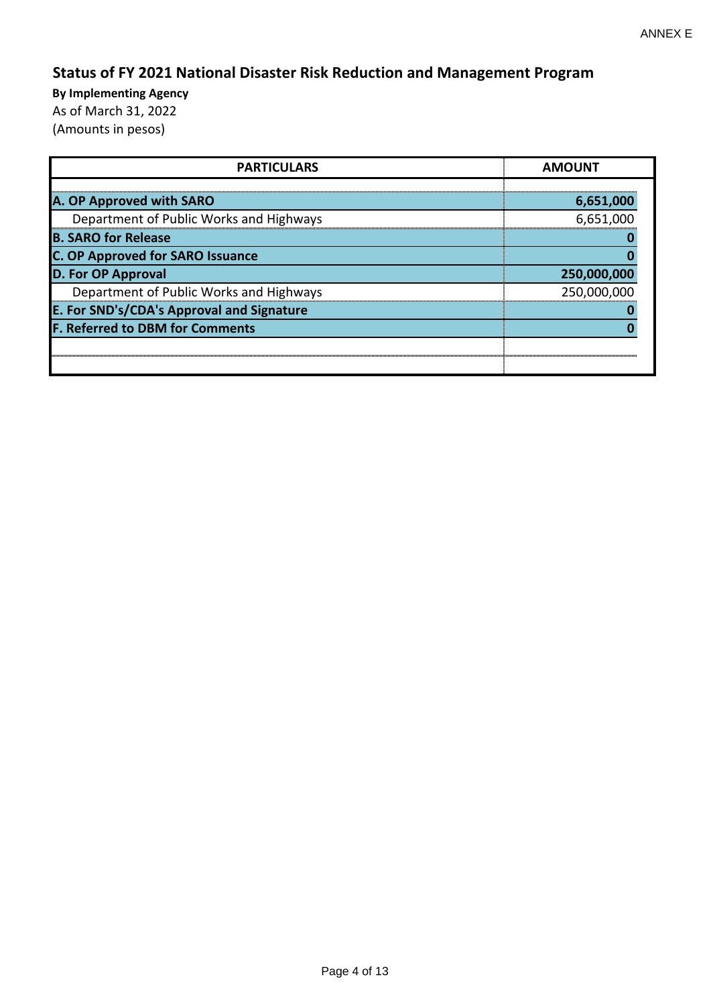# **Status of FY 2021 National Disaster Risk Reduction and Management Program**

| <b>PARTICULARS</b>                        | <b>AMOUNT</b>    |  |  |
|-------------------------------------------|------------------|--|--|
|                                           |                  |  |  |
| A. OP Approved with SARO                  | <u>6,651,000</u> |  |  |
| Department of Public Works and Highways   | 6,651,000        |  |  |
| <b>B. SARO for Release</b>                |                  |  |  |
| <b>C. OP Approved for SARO Issuance</b>   |                  |  |  |
| <b>D. For OP Approval</b>                 | 250,000,000      |  |  |
| Department of Public Works and Highways   | 250,000,000      |  |  |
| E. For SND's/CDA's Approval and Signature |                  |  |  |
| <b>F. Referred to DBM for Comments</b>    |                  |  |  |
|                                           |                  |  |  |
|                                           |                  |  |  |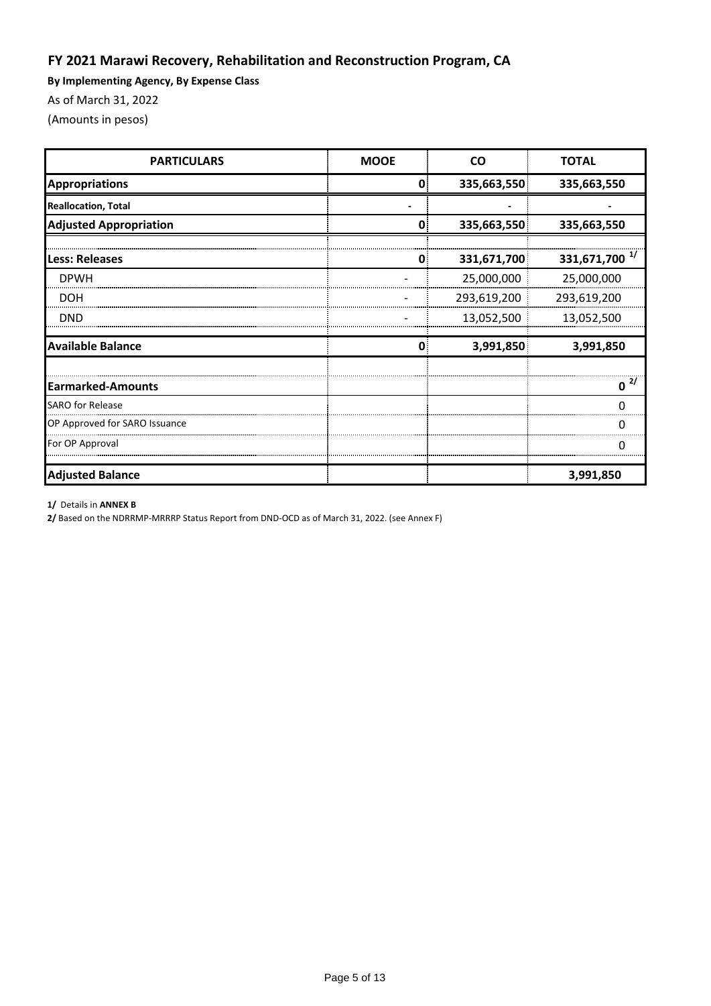# **FY 2021 Marawi Recovery, Rehabilitation and Reconstruction Program, CA**

**By Implementing Agency, By Expense Class**

As of March 31, 2022

(Amounts in pesos)

| <b>PARTICULARS</b>            | <b>MOOE</b>  | <b>CO</b>   | <b>TOTAL</b>              |
|-------------------------------|--------------|-------------|---------------------------|
| <b>Appropriations</b>         | $\mathbf{0}$ | 335,663,550 | 335,663,550               |
| <b>Reallocation, Total</b>    |              |             |                           |
| <b>Adjusted Appropriation</b> | 0            | 335,663,550 | 335,663,550               |
| Less: Releases                | 0.           | 331,671,700 | 331,671,700 <sup>1/</sup> |
| <b>DPWH</b>                   |              | 25,000,000  | 25,000,000                |
| <b>DOH</b>                    |              | 293,619,200 | 293,619,200               |
| DND                           |              | 13,052,500  | 13,052,500                |
| <b>Available Balance</b>      | $\Omega$     | 3,991,850   | 3,991,850                 |
| <b>Earmarked-Amounts</b>      |              |             | Ω                         |
| <b>SARO</b> for Release       |              |             | O                         |
| OP Approved for SARO Issuance |              |             |                           |
| For OP Approval               |              |             | C                         |
| <b>Adjusted Balance</b>       |              |             | 3,991,850                 |

#### **1/** Details in **ANNEX B**

**2/** Based on the NDRRMP-MRRRP Status Report from DND-OCD as of March 31, 2022. (see Annex F)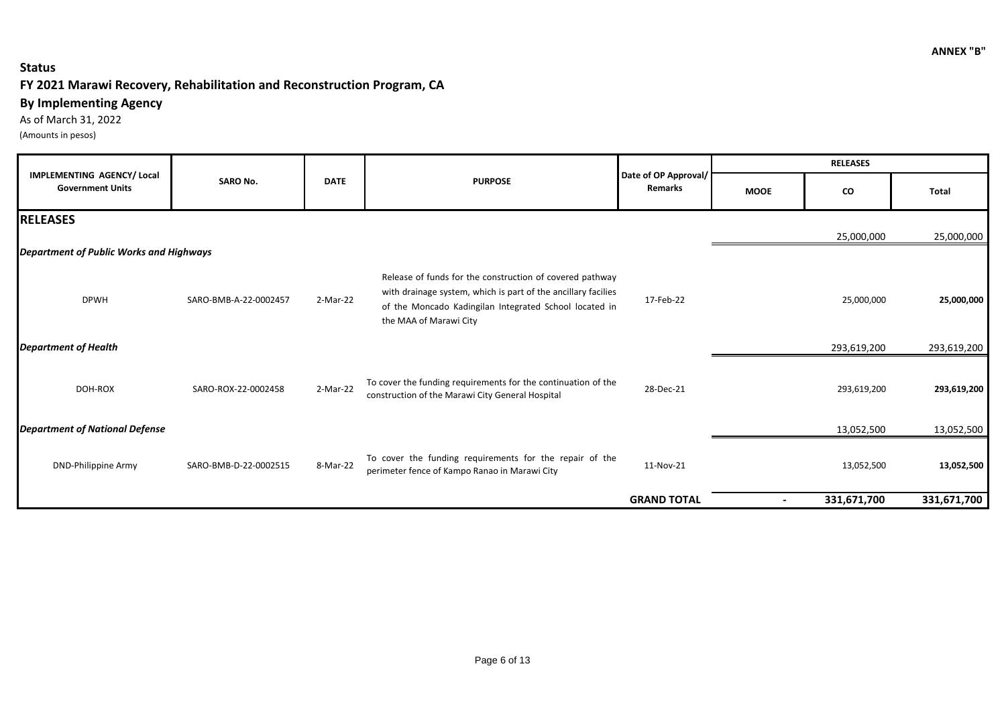### **Status**

## **FY 2021 Marawi Recovery, Rehabilitation and Reconstruction Program, CA**

## **By Implementing Agency**

As of March 31, 2022 (Amounts in pesos)

|                                                              |                       |             |                                                                                                                                                                                                               |                                        | <b>RELEASES</b> |             |             |
|--------------------------------------------------------------|-----------------------|-------------|---------------------------------------------------------------------------------------------------------------------------------------------------------------------------------------------------------------|----------------------------------------|-----------------|-------------|-------------|
| <b>IMPLEMENTING AGENCY/ Local</b><br><b>Government Units</b> | <b>SARO No.</b>       | <b>DATE</b> | <b>PURPOSE</b>                                                                                                                                                                                                | Date of OP Approval/<br><b>Remarks</b> | <b>MOOE</b>     | CO          | Total       |
| <b>RELEASES</b>                                              |                       |             |                                                                                                                                                                                                               |                                        |                 |             |             |
|                                                              |                       |             |                                                                                                                                                                                                               |                                        |                 | 25,000,000  | 25,000,000  |
| Department of Public Works and Highways                      |                       |             |                                                                                                                                                                                                               |                                        |                 |             |             |
| <b>DPWH</b>                                                  | SARO-BMB-A-22-0002457 | 2-Mar-22    | Release of funds for the construction of covered pathway<br>with drainage system, which is part of the ancillary facilies<br>of the Moncado Kadingilan Integrated School located in<br>the MAA of Marawi City | 17-Feb-22                              |                 | 25,000,000  | 25,000,000  |
| <b>Department of Health</b>                                  |                       |             |                                                                                                                                                                                                               |                                        |                 | 293,619,200 | 293,619,200 |
| DOH-ROX                                                      | SARO-ROX-22-0002458   | 2-Mar-22    | To cover the funding requirements for the continuation of the<br>construction of the Marawi City General Hospital                                                                                             | 28-Dec-21                              |                 | 293,619,200 | 293,619,200 |
| <b>Department of National Defense</b>                        |                       |             |                                                                                                                                                                                                               |                                        |                 | 13,052,500  | 13,052,500  |
| <b>DND-Philippine Army</b>                                   | SARO-BMB-D-22-0002515 | 8-Mar-22    | To cover the funding requirements for the repair of the<br>perimeter fence of Kampo Ranao in Marawi City                                                                                                      | 11-Nov-21                              |                 | 13,052,500  | 13,052,500  |
|                                                              |                       |             |                                                                                                                                                                                                               | <b>GRAND TOTAL</b>                     | $\blacksquare$  | 331,671,700 | 331,671,700 |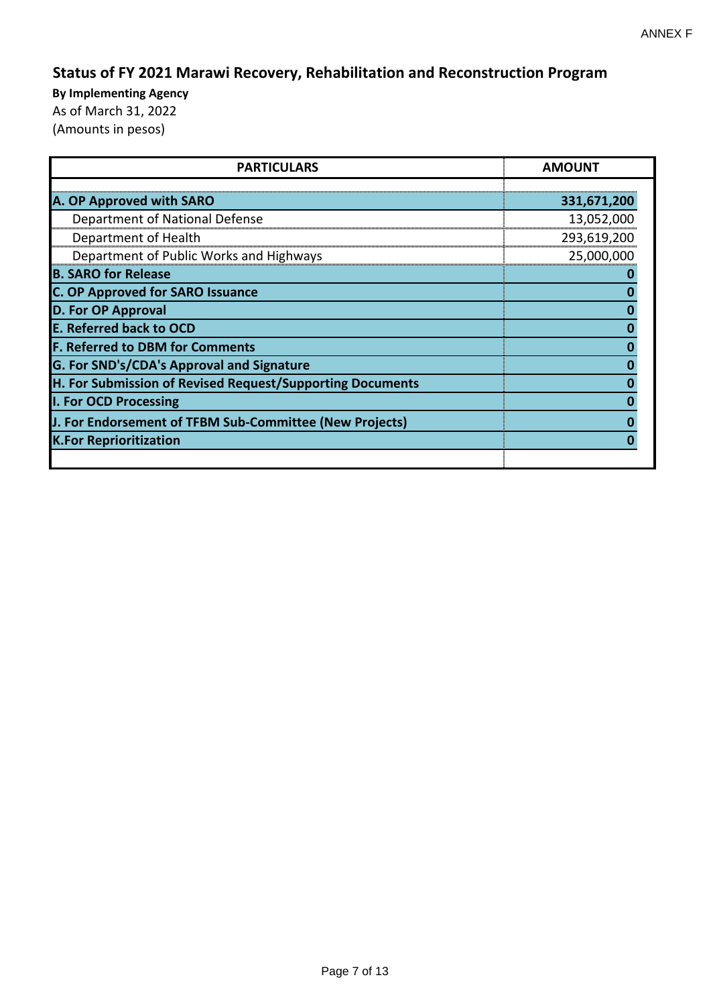# **Status of FY 2021 Marawi Recovery, Rehabilitation and Reconstruction Program**

| <b>PARTICULARS</b>                                        | <b>AMOUNT</b> |
|-----------------------------------------------------------|---------------|
| A. OP Approved with SARO                                  | 331,671,200   |
| Department of National Defense                            | 13,052,000    |
| Department of Health                                      | 293,619,200   |
| Department of Public Works and Highways                   | 25,000,000    |
| <b>B. SARO for Release</b>                                |               |
| <b>C. OP Approved for SARO Issuance</b>                   |               |
| <b>D. For OP Approval</b>                                 |               |
| <b>E. Referred back to OCD</b>                            |               |
| <b>F. Referred to DBM for Comments</b>                    |               |
| G. For SND's/CDA's Approval and Signature                 |               |
| H. For Submission of Revised Request/Supporting Documents |               |
| I. For OCD Processing                                     |               |
| J. For Endorsement of TFBM Sub-Committee (New Projects)   |               |
| <b>K.For Reprioritization</b>                             |               |
|                                                           |               |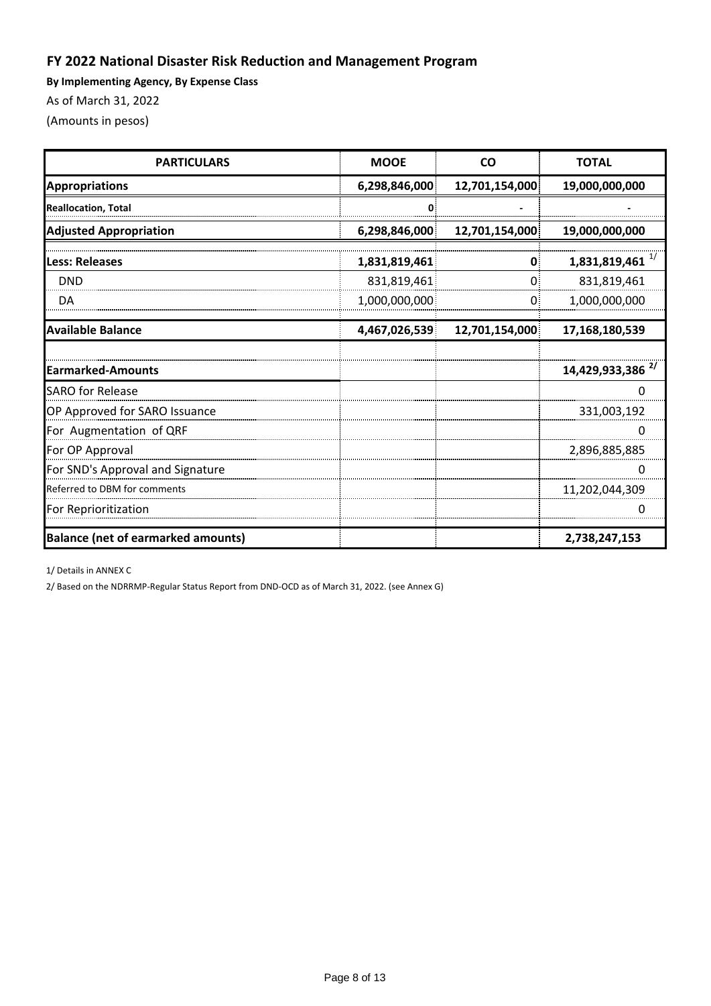# **FY 2022 National Disaster Risk Reduction and Management Program**

**By Implementing Agency, By Expense Class**

As of March 31, 2022

(Amounts in pesos)

| <b>PARTICULARS</b>                        | <b>MOOE</b>   | <b>CO</b>      | <b>TOTAL</b>                 |  |
|-------------------------------------------|---------------|----------------|------------------------------|--|
| <b>Appropriations</b>                     | 6,298,846,000 | 12,701,154,000 | 19,000,000,000               |  |
| <b>Reallocation, Total</b>                | U             |                |                              |  |
| <b>Adjusted Appropriation</b>             | 6,298,846,000 | 12,701,154,000 | 19,000,000,000               |  |
| Less: Releases                            | 1,831,819,461 | 0              | 1,831,819,461                |  |
| <b>DND</b>                                | 831,819,461   | Ω              | 831,819,461                  |  |
| DA                                        | 1,000,000,000 | 0              | 1,000,000,000                |  |
| <b>Available Balance</b>                  | 4,467,026,539 | 12,701,154,000 | 17,168,180,539               |  |
|                                           |               |                |                              |  |
| <b>Earmarked-Amounts</b>                  |               |                | 14,429,933,386 <sup>2/</sup> |  |
| <b>SARO</b> for Release                   |               |                |                              |  |
| OP Approved for SARO Issuance             |               |                | 331,003,192                  |  |
| For Augmentation of QRF                   |               |                |                              |  |
| For OP Approval                           |               |                | 2,896,885,885                |  |
| For SND's Approval and Signature          |               |                |                              |  |
| Referred to DBM for comments              |               |                | 11,202,044,309               |  |
| For Reprioritization                      |               |                |                              |  |
| <b>Balance (net of earmarked amounts)</b> |               |                | 2,738,247,153                |  |

1/ Details in ANNEX C

2/ Based on the NDRRMP-Regular Status Report from DND-OCD as of March 31, 2022. (see Annex G)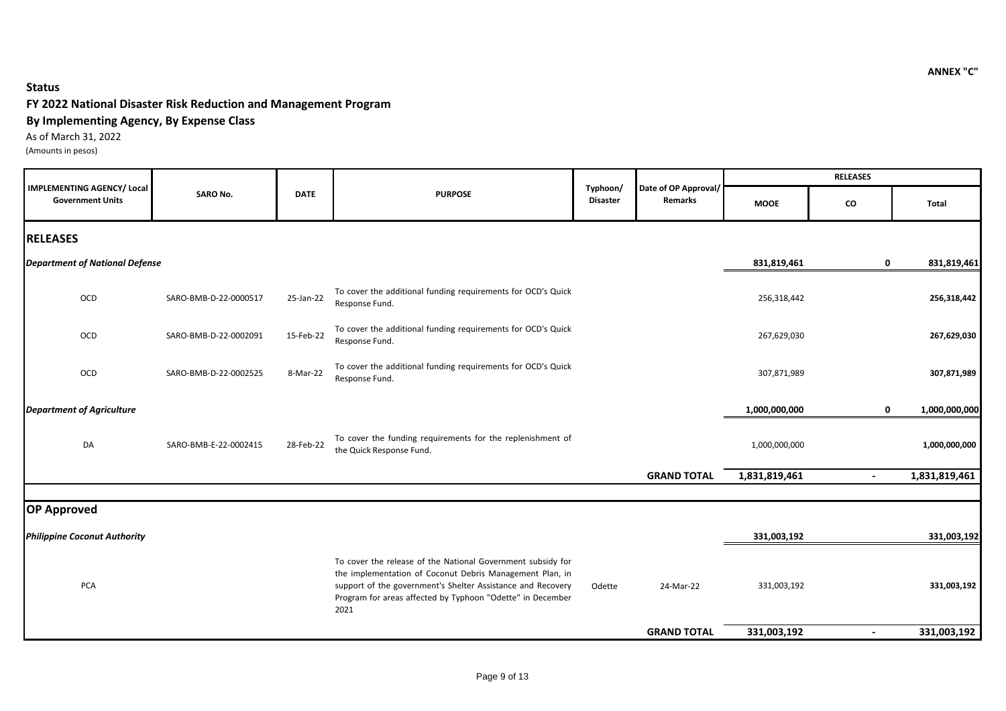### **Status**

### **FY 2022 National Disaster Risk Reduction and Management Program**

#### **By Implementing Agency, By Expense Class**

As of March 31, 2022 (Amounts in pesos)

|                                                              |                       |             |                                                                                                                                                                                                                                                              |                             |                                        |               | <b>RELEASES</b> |               |
|--------------------------------------------------------------|-----------------------|-------------|--------------------------------------------------------------------------------------------------------------------------------------------------------------------------------------------------------------------------------------------------------------|-----------------------------|----------------------------------------|---------------|-----------------|---------------|
| <b>IMPLEMENTING AGENCY/ Local</b><br><b>Government Units</b> | <b>SARO No.</b>       | <b>DATE</b> | <b>PURPOSE</b>                                                                                                                                                                                                                                               | Typhoon/<br><b>Disaster</b> | Date of OP Approval/<br><b>Remarks</b> | <b>MOOE</b>   | CO              | Total         |
| <b>RELEASES</b>                                              |                       |             |                                                                                                                                                                                                                                                              |                             |                                        |               |                 |               |
| <b>Department of National Defense</b>                        |                       |             |                                                                                                                                                                                                                                                              |                             |                                        | 831,819,461   | 0               | 831,819,461   |
| OCD                                                          | SARO-BMB-D-22-0000517 | 25-Jan-22   | To cover the additional funding requirements for OCD's Quick<br>Response Fund.                                                                                                                                                                               |                             |                                        | 256,318,442   |                 | 256,318,442   |
| OCD                                                          | SARO-BMB-D-22-0002091 | 15-Feb-22   | To cover the additional funding requirements for OCD's Quick<br>Response Fund.                                                                                                                                                                               |                             |                                        | 267,629,030   |                 | 267,629,030   |
| OCD                                                          | SARO-BMB-D-22-0002525 | 8-Mar-22    | To cover the additional funding requirements for OCD's Quick<br>Response Fund.                                                                                                                                                                               |                             |                                        | 307,871,989   |                 | 307,871,989   |
| <b>Department of Agriculture</b>                             |                       |             |                                                                                                                                                                                                                                                              |                             |                                        | 1,000,000,000 | $\mathbf 0$     | 1,000,000,000 |
| DA                                                           | SARO-BMB-E-22-0002415 | 28-Feb-22   | To cover the funding requirements for the replenishment of<br>the Quick Response Fund.                                                                                                                                                                       |                             |                                        | 1,000,000,000 |                 | 1,000,000,000 |
|                                                              |                       |             |                                                                                                                                                                                                                                                              |                             | <b>GRAND TOTAL</b>                     | 1,831,819,461 | $\blacksquare$  | 1,831,819,461 |
| <b>OP Approved</b>                                           |                       |             |                                                                                                                                                                                                                                                              |                             |                                        |               |                 |               |
| <b>Philippine Coconut Authority</b>                          |                       |             |                                                                                                                                                                                                                                                              |                             |                                        | 331,003,192   |                 | 331,003,192   |
| <b>PCA</b>                                                   |                       |             | To cover the release of the National Government subsidy for<br>the implementation of Coconut Debris Management Plan, in<br>support of the government's Shelter Assistance and Recovery<br>Program for areas affected by Typhoon "Odette" in December<br>2021 | Odette                      | 24-Mar-22                              | 331,003,192   |                 | 331,003,192   |
|                                                              |                       |             |                                                                                                                                                                                                                                                              |                             | <b>GRAND TOTAL</b>                     | 331,003,192   | $\blacksquare$  | 331,003,192   |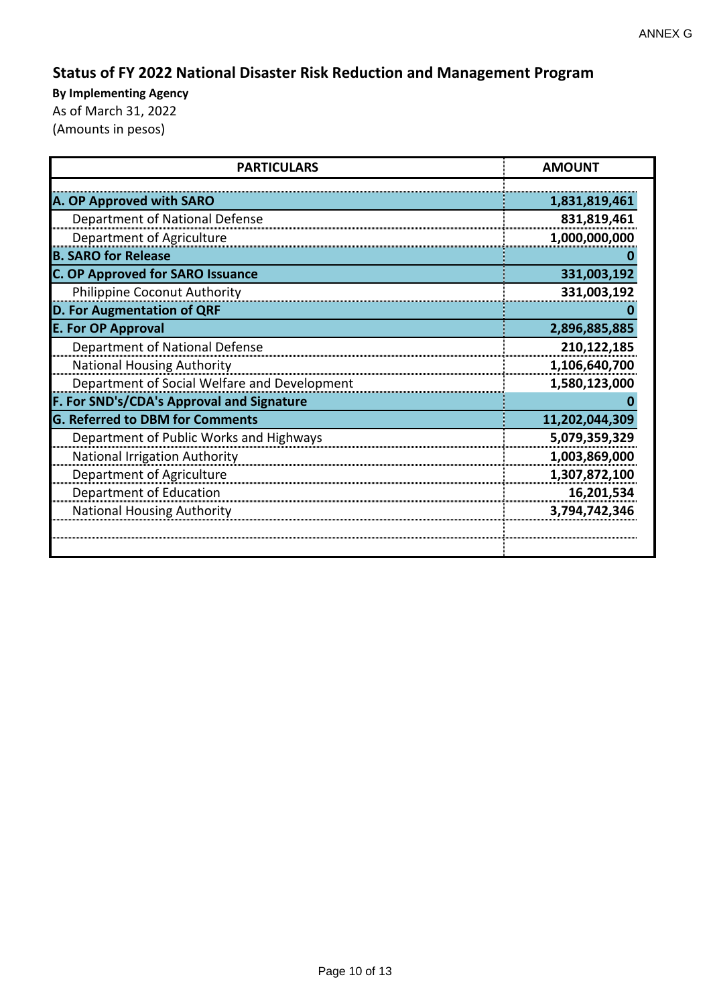# **Status of FY 2022 National Disaster Risk Reduction and Management Program**

| <b>PARTICULARS</b>                           | <b>AMOUNT</b>  |  |  |
|----------------------------------------------|----------------|--|--|
| A. OP Approved with SARO                     | 1,831,819,461  |  |  |
|                                              |                |  |  |
| Department of National Defense               | 831,819,461    |  |  |
| Department of Agriculture                    | 1,000,000,000  |  |  |
| <b>B. SARO for Release</b>                   |                |  |  |
| <b>C. OP Approved for SARO Issuance</b>      | 331,003,192    |  |  |
| Philippine Coconut Authority                 | 331,003,192    |  |  |
| D. For Augmentation of QRF                   |                |  |  |
| <b>E. For OP Approval</b>                    | 2,896,885,885  |  |  |
| Department of National Defense               | 210,122,185    |  |  |
| <b>National Housing Authority</b>            | 1,106,640,700  |  |  |
| Department of Social Welfare and Development | 1,580,123,000  |  |  |
| F. For SND's/CDA's Approval and Signature    |                |  |  |
| <b>G. Referred to DBM for Comments</b>       | 11,202,044,309 |  |  |
| Department of Public Works and Highways      | 5,079,359,329  |  |  |
| <b>National Irrigation Authority</b>         | 1,003,869,000  |  |  |
| Department of Agriculture                    | 1,307,872,100  |  |  |
| Department of Education                      | 16,201,534     |  |  |
| <b>National Housing Authority</b>            | 3,794,742,346  |  |  |
|                                              |                |  |  |
|                                              |                |  |  |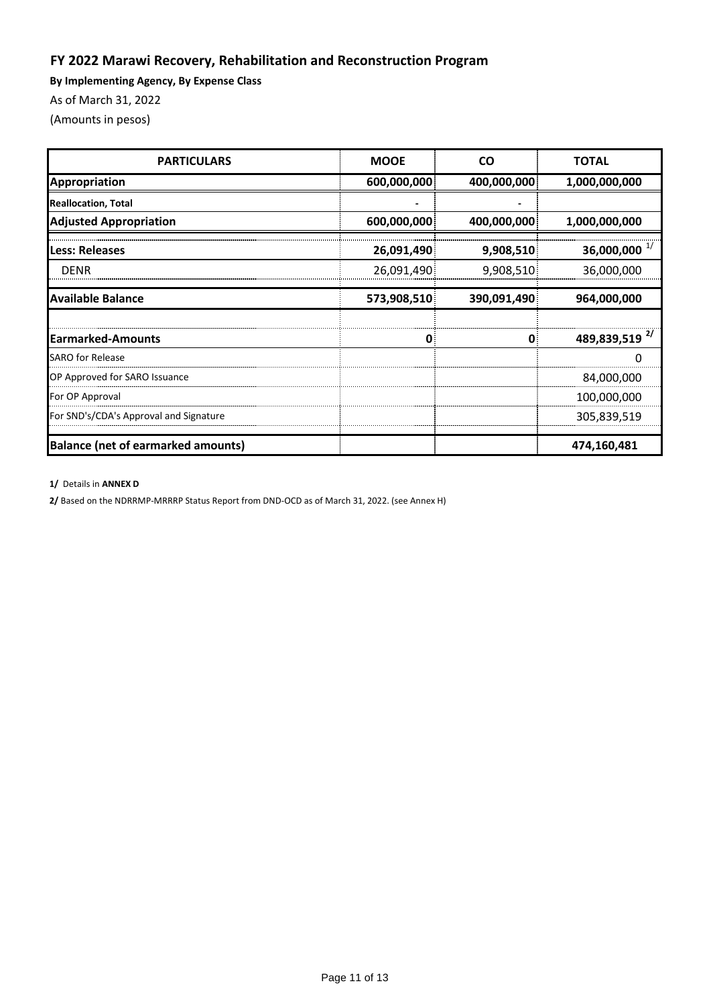# **FY 2022 Marawi Recovery, Rehabilitation and Reconstruction Program**

**By Implementing Agency, By Expense Class**

As of March 31, 2022

(Amounts in pesos)

| <b>PARTICULARS</b>                        | <b>MOOE</b> | <b>CO</b>   | <b>TOTAL</b>              |
|-------------------------------------------|-------------|-------------|---------------------------|
| Appropriation                             | 600,000,000 | 400,000,000 | 1,000,000,000             |
| <b>Reallocation, Total</b>                |             |             |                           |
| <b>Adjusted Appropriation</b>             | 600,000,000 | 400,000,000 | 1,000,000,000             |
| Less: Releases                            | 26,091,490  | 9,908,510   | 36,000,000 $^{1/}$        |
| <b>DENR</b>                               | 26,091,490  | 9,908,510   | 36,000,000                |
| <b>Available Balance</b>                  | 573,908,510 | 390,091,490 | 964,000,000               |
|                                           |             |             |                           |
| <b>Earmarked-Amounts</b>                  | 0           | O           | 489,839,519 <sup>2/</sup> |
| <b>SARO</b> for Release                   |             |             |                           |
| OP Approved for SARO Issuance             |             |             | 84,000,000                |
| For OP Approval                           |             |             | 100,000,000               |
| For SND's/CDA's Approval and Signature    |             |             | 305,839,519               |
| <b>Balance (net of earmarked amounts)</b> |             |             | 474,160,481               |

#### **1/** Details in **ANNEX D**

**2/** Based on the NDRRMP-MRRRP Status Report from DND-OCD as of March 31, 2022. (see Annex H)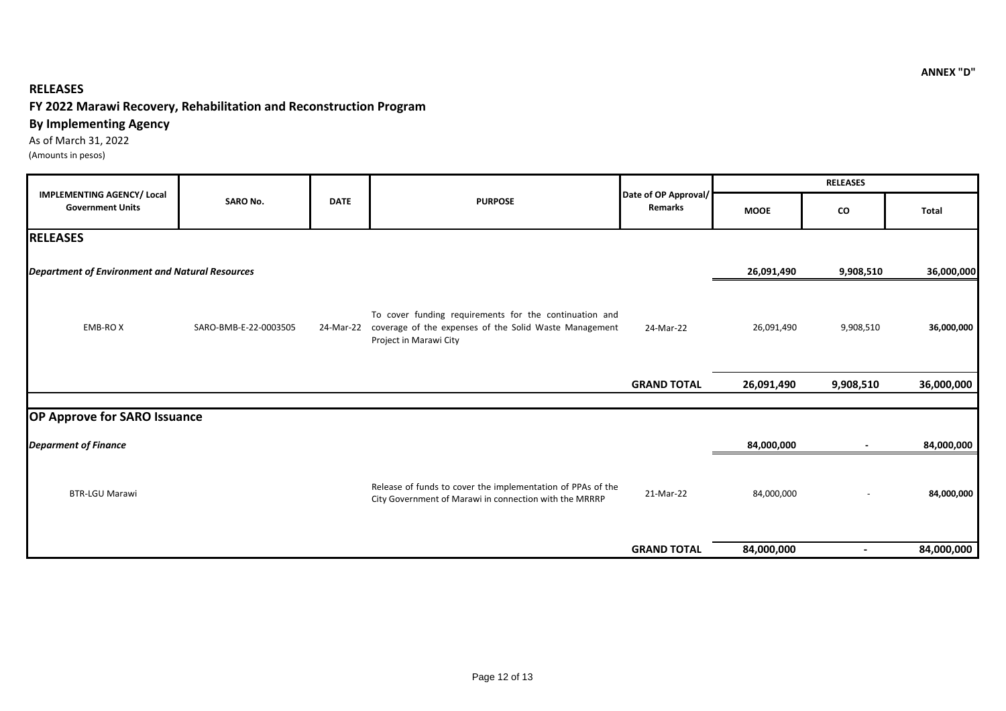### **RELEASES**

## **FY 2022 Marawi Recovery, Rehabilitation and Reconstruction Program**

### **By Implementing Agency**

As of March 31, 2022

(Amounts in pesos)

|                                                              |                       |             |                                                                                                                                                      |                                 |             | <b>RELEASES</b>          |            |
|--------------------------------------------------------------|-----------------------|-------------|------------------------------------------------------------------------------------------------------------------------------------------------------|---------------------------------|-------------|--------------------------|------------|
| <b>IMPLEMENTING AGENCY/ Local</b><br><b>Government Units</b> | <b>SARO No.</b>       | <b>DATE</b> | <b>PURPOSE</b>                                                                                                                                       | Date of OP Approval/<br>Remarks | <b>MOOE</b> | CO                       | Total      |
| <b>RELEASES</b>                                              |                       |             |                                                                                                                                                      |                                 |             |                          |            |
| <b>Department of Environment and Natural Resources</b>       |                       |             |                                                                                                                                                      |                                 | 26,091,490  | 9,908,510                | 36,000,000 |
| <b>EMB-ROX</b>                                               | SARO-BMB-E-22-0003505 |             | To cover funding requirements for the continuation and<br>24-Mar-22 coverage of the expenses of the Solid Waste Management<br>Project in Marawi City | 24-Mar-22                       | 26,091,490  | 9,908,510                | 36,000,000 |
|                                                              |                       |             |                                                                                                                                                      | <b>GRAND TOTAL</b>              | 26,091,490  | 9,908,510                | 36,000,000 |
| <b>OP Approve for SARO Issuance</b>                          |                       |             |                                                                                                                                                      |                                 |             |                          |            |
| <b>Deparment of Finance</b>                                  |                       |             |                                                                                                                                                      |                                 | 84,000,000  |                          | 84,000,000 |
| <b>BTR-LGU Marawi</b>                                        |                       |             | Release of funds to cover the implementation of PPAs of the<br>City Government of Marawi in connection with the MRRRP                                | 21-Mar-22                       | 84,000,000  |                          | 84,000,000 |
|                                                              |                       |             |                                                                                                                                                      | <b>GRAND TOTAL</b>              | 84,000,000  | $\overline{\phantom{a}}$ | 84,000,000 |